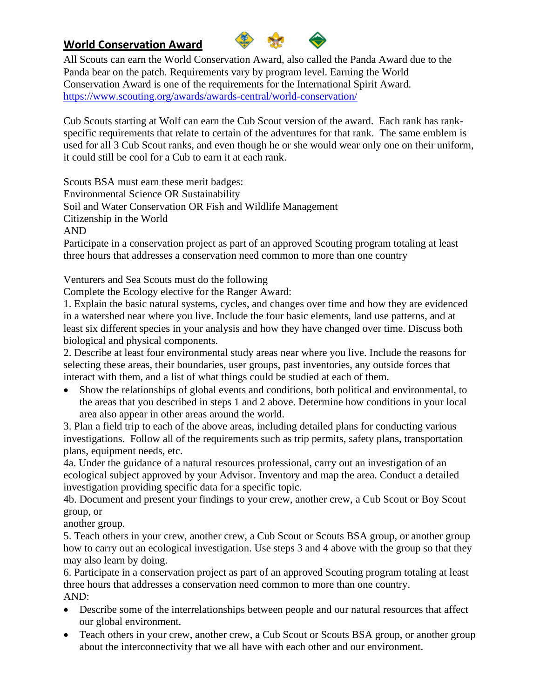## **World Conservation Award**



All Scouts can earn the World Conservation Award, also called the Panda Award due to the Panda bear on the patch. Requirements vary by program level. Earning the World Conservation Award is one of the requirements for the International Spirit Award. <https://www.scouting.org/awards/awards-central/world-conservation/>

Cub Scouts starting at Wolf can earn the Cub Scout version of the award. Each rank has rankspecific requirements that relate to certain of the adventures for that rank. The same emblem is used for all 3 Cub Scout ranks, and even though he or she would wear only one on their uniform, it could still be cool for a Cub to earn it at each rank.

Scouts BSA must earn these merit badges:

Environmental Science OR Sustainability

Soil and Water Conservation OR Fish and Wildlife Management

Citizenship in the World

AND

Participate in a conservation project as part of an approved Scouting program totaling at least three hours that addresses a conservation need common to more than one country

Venturers and Sea Scouts must do the following

Complete the Ecology elective for the Ranger Award:

1. Explain the basic natural systems, cycles, and changes over time and how they are evidenced in a watershed near where you live. Include the four basic elements, land use patterns, and at least six different species in your analysis and how they have changed over time. Discuss both biological and physical components.

2. Describe at least four environmental study areas near where you live. Include the reasons for selecting these areas, their boundaries, user groups, past inventories, any outside forces that interact with them, and a list of what things could be studied at each of them.

• Show the relationships of global events and conditions, both political and environmental, to the areas that you described in steps 1 and 2 above. Determine how conditions in your local area also appear in other areas around the world.

3. Plan a field trip to each of the above areas, including detailed plans for conducting various investigations. Follow all of the requirements such as trip permits, safety plans, transportation plans, equipment needs, etc.

4a. Under the guidance of a natural resources professional, carry out an investigation of an ecological subject approved by your Advisor. Inventory and map the area. Conduct a detailed investigation providing specific data for a specific topic.

4b. Document and present your findings to your crew, another crew, a Cub Scout or Boy Scout group, or

another group.

5. Teach others in your crew, another crew, a Cub Scout or Scouts BSA group, or another group how to carry out an ecological investigation. Use steps 3 and 4 above with the group so that they may also learn by doing.

6. Participate in a conservation project as part of an approved Scouting program totaling at least three hours that addresses a conservation need common to more than one country. AND:

- Describe some of the interrelationships between people and our natural resources that affect our global environment.
- Teach others in your crew, another crew, a Cub Scout or Scouts BSA group, or another group about the interconnectivity that we all have with each other and our environment.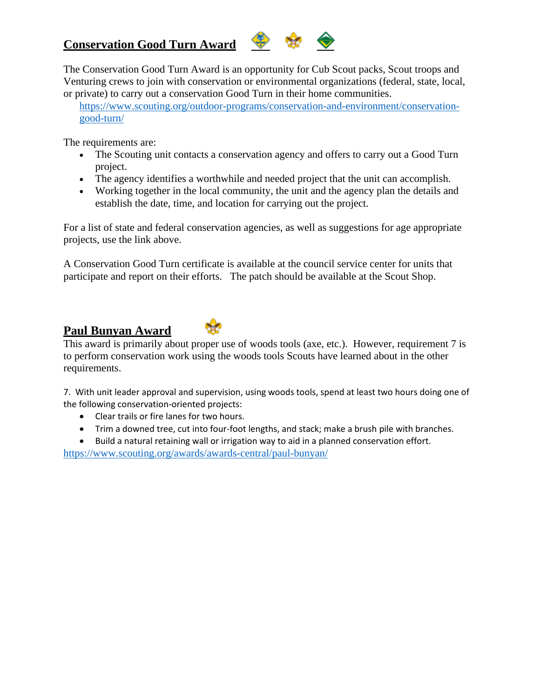# **Conservation Good Turn Award**



The Conservation Good Turn Award is an opportunity for Cub Scout packs, Scout troops and Venturing crews to join with conservation or environmental organizations (federal, state, local, or private) to carry out a conservation Good Turn in their home communities.

[https://www.scouting.org/outdoor-programs/conservation-and-environment/conservation](https://www.scouting.org/outdoor-programs/conservation-and-environment/conservation-good-turn/)[good-turn/](https://www.scouting.org/outdoor-programs/conservation-and-environment/conservation-good-turn/)

The requirements are:

- The Scouting unit contacts a conservation agency and offers to carry out a Good Turn project.
- The agency identifies a worthwhile and needed project that the unit can accomplish.
- Working together in the local community, the unit and the agency plan the details and establish the date, time, and location for carrying out the project.

For a list of state and federal conservation agencies, as well as suggestions for age appropriate projects, use the link above.

A Conservation Good Turn certificate is available at the council service center for units that participate and report on their efforts. The patch should be available at the Scout Shop.

# **Paul Bunyan Award**



This award is primarily about proper use of woods tools (axe, etc.). However, requirement 7 is to perform conservation work using the woods tools Scouts have learned about in the other requirements.

7. With unit leader approval and supervision, using woods tools, spend at least two hours doing one of the following conservation-oriented projects:

- Clear trails or fire lanes for two hours.
- Trim a downed tree, cut into four-foot lengths, and stack; make a brush pile with branches.
- Build a natural retaining wall or irrigation way to aid in a planned conservation effort.

<https://www.scouting.org/awards/awards-central/paul-bunyan/>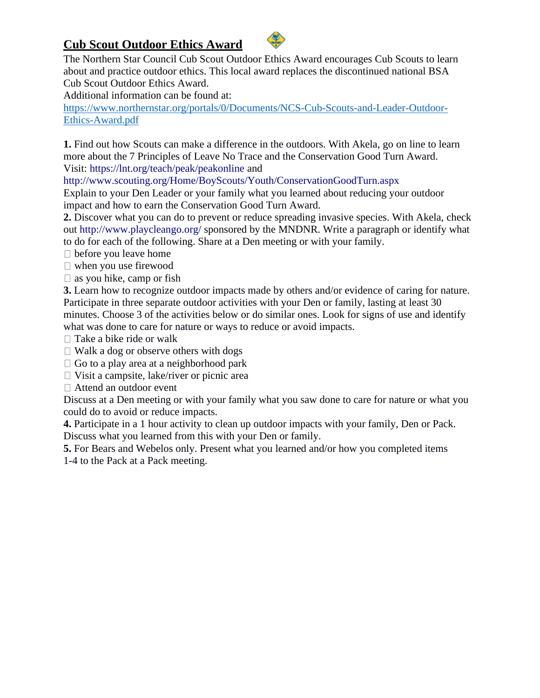# **Cub Scout Outdoor Ethics Award**



The Northern Star Council Cub Scout Outdoor Ethics Award encourages Cub Scouts to learn about and practice outdoor ethics. This local award replaces the discontinued national BSA Cub Scout Outdoor Ethics Award.

Additional information can be found at:

[https://www.northernstar.org/portals/0/Documents/NCS-Cub-Scouts-and-Leader-Outdoor-](https://www.northernstar.org/portals/0/Documents/NCS-Cub-Scouts-and-Leader-Outdoor-Ethics-Award.pdf)[Ethics-Award.pdf](https://www.northernstar.org/portals/0/Documents/NCS-Cub-Scouts-and-Leader-Outdoor-Ethics-Award.pdf)

**1.** Find out how Scouts can make a difference in the outdoors. With Akela, go on line to learn more about the 7 Principles of Leave No Trace and the Conservation Good Turn Award. Visit: https://lnt.org/teach/peak/peakonline and

http://www.scouting.org/Home/BoyScouts/Youth/ConservationGoodTurn.aspx

Explain to your Den Leader or your family what you learned about reducing your outdoor impact and how to earn the Conservation Good Turn Award.

**2.** Discover what you can do to prevent or reduce spreading invasive species. With Akela, check out http://www.playcleango.org/ sponsored by the MNDNR. Write a paragraph or identify what to do for each of the following. Share at a Den meeting or with your family.

before you leave home

 $\Box$  when you use firewood

 $\Box$  as you hike, camp or fish

**3.** Learn how to recognize outdoor impacts made by others and/or evidence of caring for nature. Participate in three separate outdoor activities with your Den or family, lasting at least 30 minutes. Choose 3 of the activities below or do similar ones. Look for signs of use and identify what was done to care for nature or ways to reduce or avoid impacts.

 $\Box$  Take a bike ride or walk

 $\Box$  Walk a dog or observe others with dogs

 $\Box$  Go to a play area at a neighborhood park

 $\Box$  Visit a campsite, lake/river or picnic area

Attend an outdoor event

Discuss at a Den meeting or with your family what you saw done to care for nature or what you could do to avoid or reduce impacts.

**4.** Participate in a 1 hour activity to clean up outdoor impacts with your family, Den or Pack. Discuss what you learned from this with your Den or family.

**5.** For Bears and Webelos only. Present what you learned and/or how you completed items

1-4 to the Pack at a Pack meeting.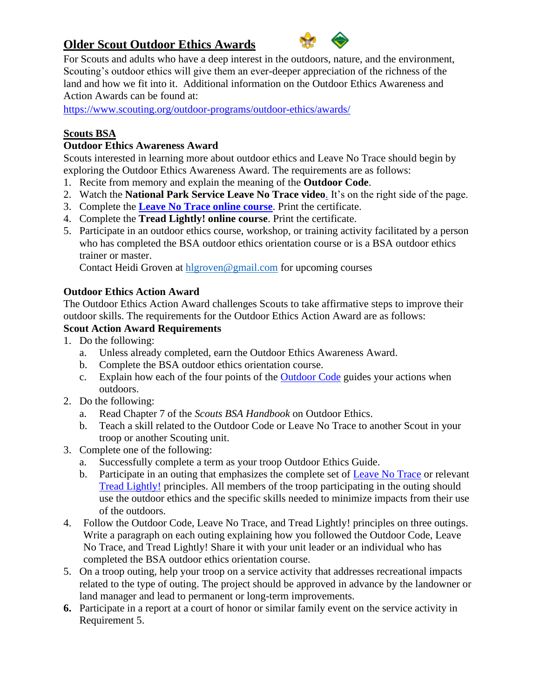# **Older Scout Outdoor Ethics Awards**



For Scouts and adults who have a deep interest in the outdoors, nature, and the environment, Scouting's outdoor ethics will give them an ever-deeper appreciation of the richness of the land and how we fit into it. Additional information on the Outdoor Ethics Awareness and Action Awards can be found at:

<https://www.scouting.org/outdoor-programs/outdoor-ethics/awards/>

### **Scouts BSA**

### **Outdoor Ethics Awareness Award**

Scouts interested in learning more about outdoor ethics and Leave No Trace should begin by exploring the Outdoor Ethics Awareness Award. The requirements are as follows:

- 1. Recite from memory and explain the meaning of the **Outdoor Code**.
- 2. Watch the **National Park [Service Leave No Trace video](http://www.nps.gov/features/wilderness/leavenotrace/popup.html)**. It's on the right side of the page.
- 3. Complete the **[Leave No Trace online course](http://lnt.org/learn/online-awareness-course)**. Print the certificate.
- 4. Complete the **[Tread Lightly! online course](https://tread-lightly.teachable.com/p/online-awareness-course)**. Print the certificate.
- 5. Participate in an outdoor ethics course, workshop, or training activity facilitated by a person who has completed the BSA outdoor ethics orientation course or is a BSA outdoor ethics trainer or master.

Contact Heidi Groven at [hlgroven@gmail.com](mailto:hlgroven@gmail.com) for upcoming courses

#### **Outdoor Ethics Action Award**

The Outdoor Ethics Action Award challenges Scouts to take affirmative steps to improve their outdoor skills. The requirements for the Outdoor Ethics Action Award are as follows:

#### **Scout Action Award Requirements**

- 1. Do the following:
	- a. Unless already completed, earn the Outdoor Ethics Awareness Award.
	- b. Complete the BSA outdoor ethics orientation course.
	- c. Explain how each of the four points of the [Outdoor Code](https://www.scouting.org/outdoor-programs/outdoor-ethics) guides your actions when outdoors.
- 2. Do the following:
	- a. Read Chapter 7 of the *Scouts BSA Handbook* on Outdoor Ethics.
	- b. Teach a skill related to the Outdoor Code or Leave No Trace to another Scout in your troop or another Scouting unit.
- 3. Complete one of the following:
	- a. Successfully complete a term as your troop Outdoor Ethics Guide.
	- b. Participate in an outing that emphasizes the complete set of [Leave No Trace](http://lnt.org/learn/7-principles) or relevant [Tread Lightly!](https://www.treadlightly.org/) principles. All members of the troop participating in the outing should use the outdoor ethics and the specific skills needed to minimize impacts from their use of the outdoors.
- 4. Follow the Outdoor Code, Leave No Trace, and Tread Lightly! principles on three outings. Write a paragraph on each outing explaining how you followed the Outdoor Code, Leave No Trace, and Tread Lightly! Share it with your unit leader or an individual who has completed the BSA outdoor ethics orientation course.
- 5. On a troop outing, help your troop on a service activity that addresses recreational impacts related to the type of outing. The project should be approved in advance by the landowner or land manager and lead to permanent or long-term improvements.
- **6.** Participate in a report at a court of honor or similar family event on the service activity in Requirement 5.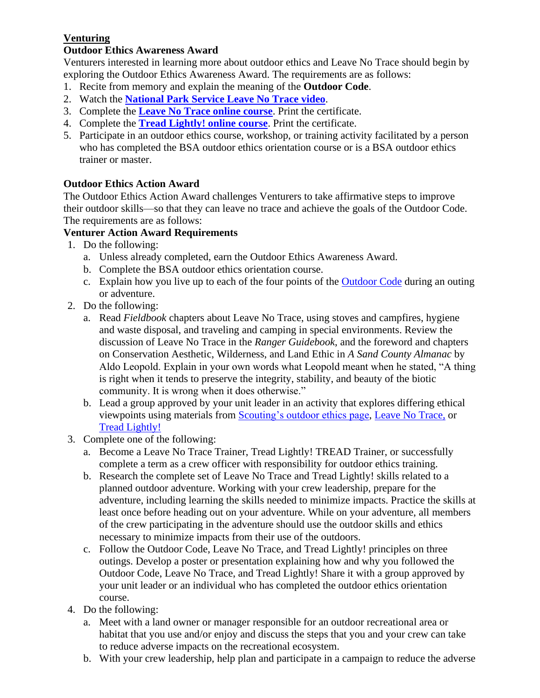# **Venturing**

### **Outdoor Ethics Awareness Award**

Venturers interested in learning more about outdoor ethics and Leave No Trace should begin by exploring the Outdoor Ethics Awareness Award. The requirements are as follows:

- 1. Recite from memory and explain the meaning of the **Outdoor Code**.
- 2. Watch the **[National Park Service Leave No Trace video](http://www.nps.gov/features/wilderness/leavenotrace/popup.html)**.
- 3. Complete the **[Leave No Trace online course](http://lnt.org/learn/online-awareness-course)**. Print the certificate.
- 4. Complete the **[Tread Lightly! online course](https://tread-lightly.teachable.com/p/online-awareness-course)**. Print the certificate.
- 5. Participate in an outdoor ethics course, workshop, or training activity facilitated by a person who has completed the BSA outdoor ethics orientation course or is a BSA outdoor ethics trainer or master.

## **Outdoor Ethics Action Award**

The Outdoor Ethics Action Award challenges Venturers to take affirmative steps to improve their outdoor skills—so that they can leave no trace and achieve the goals of the Outdoor Code. The requirements are as follows:

### **Venturer Action Award Requirements**

- 1. Do the following:
	- a. Unless already completed, earn the Outdoor Ethics Awareness Award.
	- b. Complete the BSA outdoor ethics orientation course.
	- c. Explain how you live up to each of the four points of the [Outdoor Code](https://www.scouting.org/outdoor-programs/outdoor-ethics) during an outing or adventure.
- 2. Do the following:
	- a. Read *Fieldbook* chapters about Leave No Trace, using stoves and campfires, hygiene and waste disposal, and traveling and camping in special environments. Review the discussion of Leave No Trace in the *Ranger Guidebook*, and the foreword and chapters on Conservation Aesthetic, Wilderness, and Land Ethic in *A Sand County Almanac* by Aldo Leopold. Explain in your own words what Leopold meant when he stated, "A thing is right when it tends to preserve the integrity, stability, and beauty of the biotic community. It is wrong when it does otherwise."
	- b. Lead a group approved by your unit leader in an activity that explores differing ethical viewpoints using materials from [Scouting's outdoor ethics page,](https://www.scouting.org/outdoor-programs/outdoor-ethics) [Leave No Trace,](http://lnt.org/) or [Tread Lightly!](http://treadlightly.org/)
- 3. Complete one of the following:
	- a. Become a Leave No Trace Trainer, Tread Lightly! TREAD Trainer, or successfully complete a term as a crew officer with responsibility for outdoor ethics training.
	- b. Research the complete set of Leave No Trace and Tread Lightly! skills related to a planned outdoor adventure. Working with your crew leadership, prepare for the adventure, including learning the skills needed to minimize impacts. Practice the skills at least once before heading out on your adventure. While on your adventure, all members of the crew participating in the adventure should use the outdoor skills and ethics necessary to minimize impacts from their use of the outdoors.
	- c. Follow the Outdoor Code, Leave No Trace, and Tread Lightly! principles on three outings. Develop a poster or presentation explaining how and why you followed the Outdoor Code, Leave No Trace, and Tread Lightly! Share it with a group approved by your unit leader or an individual who has completed the outdoor ethics orientation course.
- 4. Do the following:
	- a. Meet with a land owner or manager responsible for an outdoor recreational area or habitat that you use and/or enjoy and discuss the steps that you and your crew can take to reduce adverse impacts on the recreational ecosystem.
	- b. With your crew leadership, help plan and participate in a campaign to reduce the adverse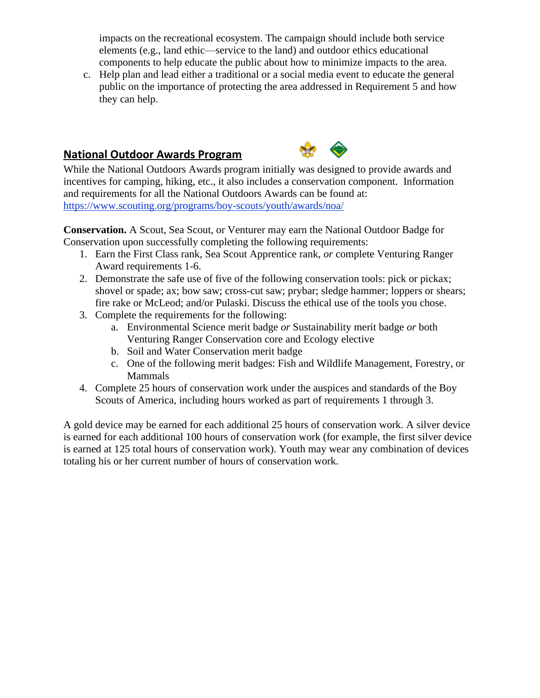impacts on the recreational ecosystem. The campaign should include both service elements (e.g., land ethic—service to the land) and outdoor ethics educational components to help educate the public about how to minimize impacts to the area.

c. Help plan and lead either a traditional or a social media event to educate the general public on the importance of protecting the area addressed in Requirement 5 and how they can help.

# **National Outdoor Awards Program**



While the National Outdoors Awards program initially was designed to provide awards and incentives for camping, hiking, etc., it also includes a conservation component. Information and requirements for all the National Outdoors Awards can be found at: <https://www.scouting.org/programs/boy-scouts/youth/awards/noa/>

**Conservation.** A Scout, Sea Scout, or Venturer may earn the National Outdoor Badge for Conservation upon successfully completing the following requirements:

- 1. Earn the First Class rank, Sea Scout Apprentice rank, *or* complete Venturing Ranger Award requirements 1-6.
- 2. Demonstrate the safe use of five of the following conservation tools: pick or pickax; shovel or spade; ax; bow saw; cross-cut saw; prybar; sledge hammer; loppers or shears; fire rake or McLeod; and/or Pulaski. Discuss the ethical use of the tools you chose.
- 3. Complete the requirements for the following:
	- a. Environmental Science merit badge *or* Sustainability merit badge *or* both Venturing Ranger Conservation core and Ecology elective
	- b. Soil and Water Conservation merit badge
	- c. One of the following merit badges: Fish and Wildlife Management, Forestry, or Mammals
- 4. Complete 25 hours of conservation work under the auspices and standards of the Boy Scouts of America, including hours worked as part of requirements 1 through 3.

A gold device may be earned for each additional 25 hours of conservation work. A silver device is earned for each additional 100 hours of conservation work (for example, the first silver device is earned at 125 total hours of conservation work). Youth may wear any combination of devices totaling his or her current number of hours of conservation work.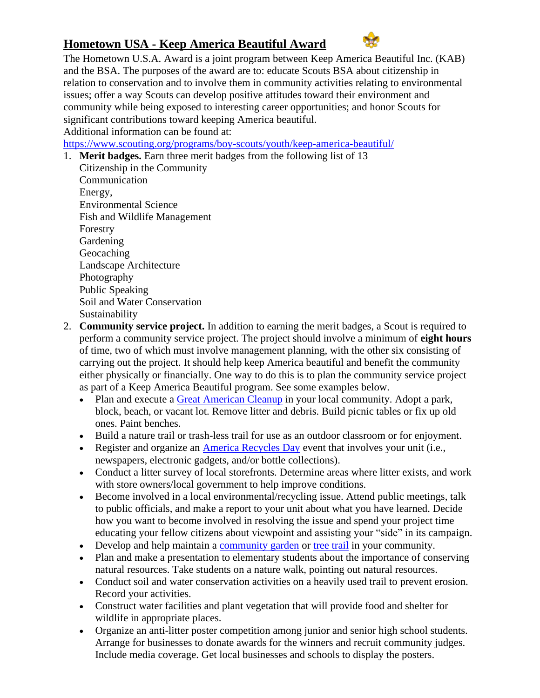# **Hometown USA - Keep America Beautiful Award**



The Hometown U.S.A. Award is a joint program between Keep America Beautiful Inc. (KAB) and the BSA. The purposes of the award are to: educate Scouts BSA about citizenship in relation to conservation and to involve them in community activities relating to environmental issues; offer a way Scouts can develop positive attitudes toward their environment and community while being exposed to interesting career opportunities; and honor Scouts for significant contributions toward keeping America beautiful. Additional information can be found at:

https:[//www.scouting.org/programs/boy-scouts/youth/keep-america-beautiful/](http://www.scouting.org/programs/boy-scouts/youth/keep-america-beautiful/)

- 1. **Merit badges.** Earn three merit badges from the following list of 13 Citizenship in the Community Communication Energy, Environmental Science Fish and Wildlife Management Forestry **Gardening** Geocaching Landscape Architecture Photography Public Speaking Soil and Water Conservation Sustainability
- 2. **Community service project.** In addition to earning the merit badges, a Scout is required to perform a community service project. The project should involve a minimum of **eight hours** of time, two of which must involve management planning, with the other six consisting of carrying out the project. It should help keep America beautiful and benefit the community either physically or financially. One way to do this is to plan the community service project as part of a Keep America Beautiful program. See some examples below.
	- Plan and execute a [Great American Cleanup](https://kab.org/programs/great-american-cleanup/) in your local community. Adopt a park, block, beach, or vacant lot. Remove litter and debris. Build picnic tables or fix up old ones. Paint benches.
	- Build a nature trail or trash-less trail for use as an outdoor classroom or for enjoyment.
	- Register and organize an [America Recycles Day](http://americarecyclesday.org/) event that involves your unit (i.e., newspapers, electronic gadgets, and/or bottle collections).
	- Conduct a litter survey of local storefronts. Determine areas where litter exists, and work with store owners/local government to help improve conditions.
	- Become involved in a local environmental/recycling issue. Attend public meetings, talk to public officials, and make a report to your unit about what you have learned. Decide how you want to become involved in resolving the issue and spend your project time educating your fellow citizens about viewpoint and assisting your "side" in its campaign.
	- Develop and help maintain a [community garden](https://communitygarden.org/resources/10-steps-to-starting-a-community-garden/) or [tree trail](http://texasforestinfo.tamu.edu/treetrails/) in your community.
	- Plan and make a presentation to elementary students about the importance of conserving natural resources. Take students on a nature walk, pointing out natural resources.
	- Conduct soil and water conservation activities on a heavily used trail to prevent erosion. Record your activities.
	- Construct water facilities and plant vegetation that will provide food and shelter for wildlife in appropriate places.
	- Organize an anti-litter poster competition among junior and senior high school students. Arrange for businesses to donate awards for the winners and recruit community judges. Include media coverage. Get local businesses and schools to display the posters.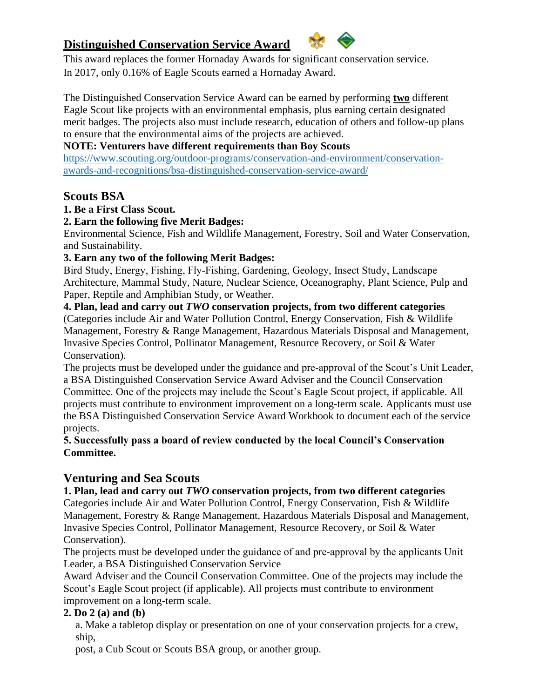# **Distinguished Conservation Service Award**



This award replaces the former Hornaday Awards for significant conservation service. In 2017, only 0.16% of Eagle Scouts earned a Hornaday Award.

The Distinguished Conservation Service Award can be earned by performing **two** different Eagle Scout like projects with an environmental emphasis, plus earning certain designated merit badges. The projects also must include research, education of others and follow-up plans to ensure that the environmental aims of the projects are achieved.

### **NOTE: Venturers have different requirements than Boy Scouts**

[https://www.scouting.org/outdoor-programs/conservation-and-environment/conservation](https://www.scouting.org/outdoor-programs/conservation-and-environment/conservation-awards-and-recognitions/bsa-distinguished-conservation-service-award/)[awards-and-recognitions/bsa-distinguished-conservation-service-award/](https://www.scouting.org/outdoor-programs/conservation-and-environment/conservation-awards-and-recognitions/bsa-distinguished-conservation-service-award/)

### **Scouts BSA**

### **1. Be a First Class Scout.**

### **2. Earn the following five Merit Badges:**

Environmental Science, Fish and Wildlife Management, Forestry, Soil and Water Conservation, and Sustainability.

### **3. Earn any two of the following Merit Badges:**

Bird Study, Energy, Fishing, Fly‐Fishing, Gardening, Geology, Insect Study, Landscape Architecture, Mammal Study, Nature, Nuclear Science, Oceanography, Plant Science, Pulp and Paper, Reptile and Amphibian Study, or Weather.

**4. Plan, lead and carry out** *TWO* **conservation projects, from two different categories** (Categories include Air and Water Pollution Control, Energy Conservation, Fish & Wildlife Management, Forestry & Range Management, Hazardous Materials Disposal and Management, Invasive Species Control, Pollinator Management, Resource Recovery, or Soil & Water Conservation).

The projects must be developed under the guidance and pre-approval of the Scout's Unit Leader, a BSA Distinguished Conservation Service Award Adviser and the Council Conservation Committee. One of the projects may include the Scout's Eagle Scout project, if applicable. All projects must contribute to environment improvement on a long-term scale. Applicants must use the BSA Distinguished Conservation Service Award Workbook to document each of the service projects.

### **5. Successfully pass a board of review conducted by the local Council's Conservation Committee.**

## **Venturing and Sea Scouts**

## **1. Plan, lead and carry out** *TWO* **conservation projects, from two different categories**

Categories include Air and Water Pollution Control, Energy Conservation, Fish & Wildlife Management, Forestry & Range Management, Hazardous Materials Disposal and Management, Invasive Species Control, Pollinator Management, Resource Recovery, or Soil & Water Conservation).

The projects must be developed under the guidance of and pre-approval by the applicants Unit Leader, a BSA Distinguished Conservation Service

Award Adviser and the Council Conservation Committee. One of the projects may include the Scout's Eagle Scout project (if applicable). All projects must contribute to environment improvement on a long-term scale.

### **2. Do 2 (a) and (b)**

a. Make a tabletop display or presentation on one of your conservation projects for a crew, ship,

post, a Cub Scout or Scouts BSA group, or another group.